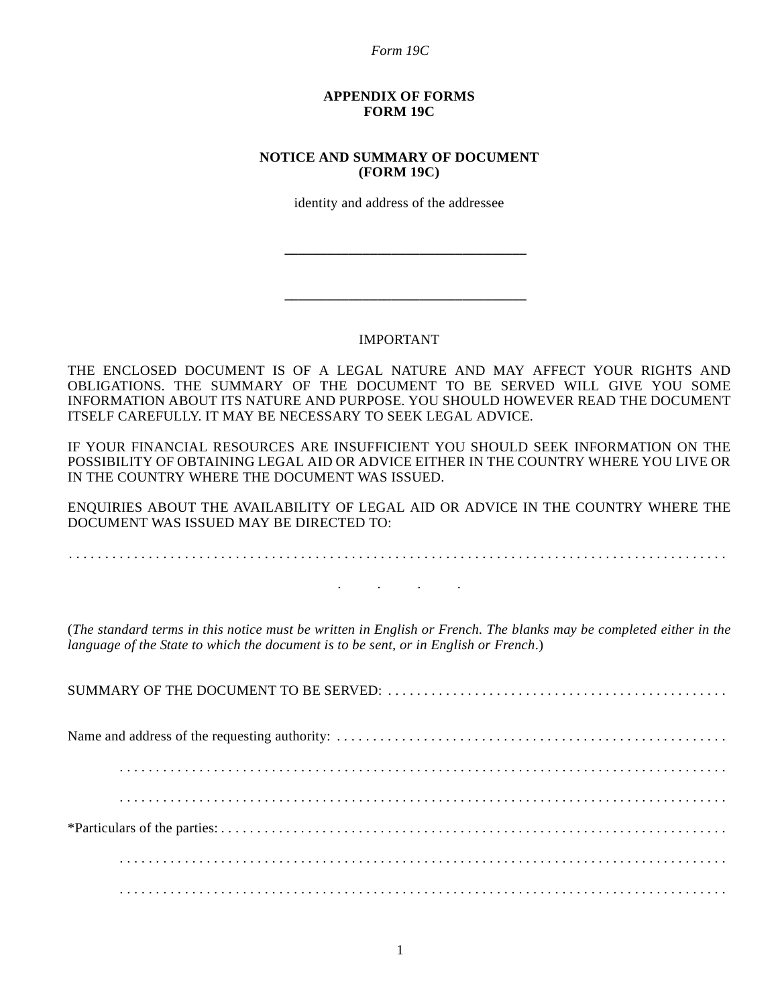*Form 19C*

## **APPENDIX OF FORMS FORM 19C**

## **NOTICE AND SUMMARY OF DOCUMENT (FORM 19C)**

identity and address of the addressee

**\_\_\_\_\_\_\_\_\_\_\_\_\_\_\_\_\_\_\_\_\_\_\_\_\_\_\_\_\_\_\_\_\_\_**

**\_\_\_\_\_\_\_\_\_\_\_\_\_\_\_\_\_\_\_\_\_\_\_\_\_\_\_\_\_\_\_\_\_\_**

THE ENCLOSED DOCUMENT IS OF A LEGAL NATURE AND MAY AFFECT YOUR RIGHTS AND OBLIGATIONS. THE SUMMARY OF THE DOCUMENT TO BE SERVED WILL GIVE YOU SOME INFORMATION ABOUT ITS NATURE AND PURPOSE. YOU SHOULD HOWEVER READ THE DOCUMENT ITSELF CAREFULLY. IT MAY BE NECESSARY TO SEEK LEGAL ADVICE.

IMPORTANT

IF YOUR FINANCIAL RESOURCES ARE INSUFFICIENT YOU SHOULD SEEK INFORMATION ON THE POSSIBILITY OF OBTAINING LEGAL AID OR ADVICE EITHER IN THE COUNTRY WHERE YOU LIVE OR IN THE COUNTRY WHERE THE DOCUMENT WAS ISSUED.

ENQUIRIES ABOUT THE AVAILABILITY OF LEGAL AID OR ADVICE IN THE COUNTRY WHERE THE DOCUMENT WAS ISSUED MAY BE DIRECTED TO:

. . . . . . . . . . . . . . . . . . . . . . . . . . . . . . . . . . . . . . . . . . . . . . . . . . . . . . . . . . . . . . . . . . . . . . . . . . . . . . . . . . . . . . . . . . .

. . . .

(*The standard terms in this notice must be written in English or French. The blanks may be completed either in the language of the State to which the document is to be sent, or in English or French*.)

SUMMARY OF THE DOCUMENT TO BE SERVED: . . . . . . . . . . . . . . . . . . . . . . . . . . . . . . . . . . . . . . . . . . . . . . . Name and address of the requesting authority: . . . . . . . . . . . . . . . . . . . . . . . . . . . . . . . . . . . . . . . . . . . . . . . . . . . . . . . . . . . . . . . . . . . . . . . . . . . . . . . . . . . . . . . . . . . . . . . . . . . . . . . . . . . . . . . . . . . . . . . . . . . . . . . . . . . . . . . . . . . . . . . . . . . . . . . . . . . . . . . . . . . . . . . . . . . . . . . . . . . . . . . . . . . . . . . . . . . . . . . . . . . . . . . . . . . . . . . . . . . . . . \*Particulars of the parties: . . . . . . . . . . . . . . . . . . . . . . . . . . . . . . . . . . . . . . . . . . . . . . . . . . . . . . . . . . . . . . . . . . . . . . . . . . . . . . . . . . . . . . . . . . . . . . . . . . . . . . . . . . . . . . . . . . . . . . . . . . . . . . . . . . . . . . . . . . . . . . . . . . . . . . . . . . . . . . . . . . . . . . . . . . . . . . . . . . . . . . . . . . . . . . . . . . . . . . . . . . . . . . . . . . . . . . . . . . . . . . . . . . . . . . . . . . . . . .